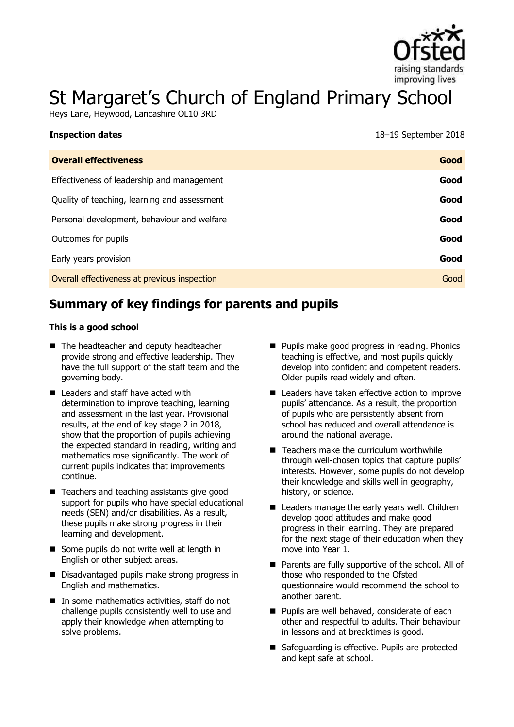

# St Margaret's Church of England Primary School

Heys Lane, Heywood, Lancashire OL10 3RD

| <b>Overall effectiveness</b>                 | Good |
|----------------------------------------------|------|
| Effectiveness of leadership and management   | Good |
| Quality of teaching, learning and assessment | Good |
| Personal development, behaviour and welfare  | Good |
| Outcomes for pupils                          | Good |
| Early years provision                        | Good |
| Overall effectiveness at previous inspection | Good |
|                                              |      |

# **Summary of key findings for parents and pupils**

#### **This is a good school**

**Inspection dates** 

- The headteacher and deputy headteacher provide strong and effective leadership. They have the full support of the staff team and the governing body.
- Leaders and staff have acted with determination to improve teaching, learning and assessment in the last year. Provisional results, at the end of key stage 2 in 2018, show that the proportion of pupils achieving the expected standard in reading, writing and mathematics rose significantly. The work of current pupils indicates that improvements continue.
- Teachers and teaching assistants give good support for pupils who have special educational needs (SEN) and/or disabilities. As a result, these pupils make strong progress in their learning and development.
- Some pupils do not write well at length in English or other subject areas.
- Disadvantaged pupils make strong progress in English and mathematics.
- In some mathematics activities, staff do not challenge pupils consistently well to use and apply their knowledge when attempting to solve problems.
- **Pupils make good progress in reading. Phonics** teaching is effective, and most pupils quickly develop into confident and competent readers. Older pupils read widely and often.
- Leaders have taken effective action to improve pupils' attendance. As a result, the proportion of pupils who are persistently absent from school has reduced and overall attendance is around the national average.
- Teachers make the curriculum worthwhile through well-chosen topics that capture pupils' interests. However, some pupils do not develop their knowledge and skills well in geography, history, or science.
- Leaders manage the early years well. Children develop good attitudes and make good progress in their learning. They are prepared for the next stage of their education when they move into Year 1.
- **Parents are fully supportive of the school. All of** those who responded to the Ofsted questionnaire would recommend the school to another parent.
- **Pupils are well behaved, considerate of each** other and respectful to adults. Their behaviour in lessons and at breaktimes is good.
- Safeguarding is effective. Pupils are protected and kept safe at school.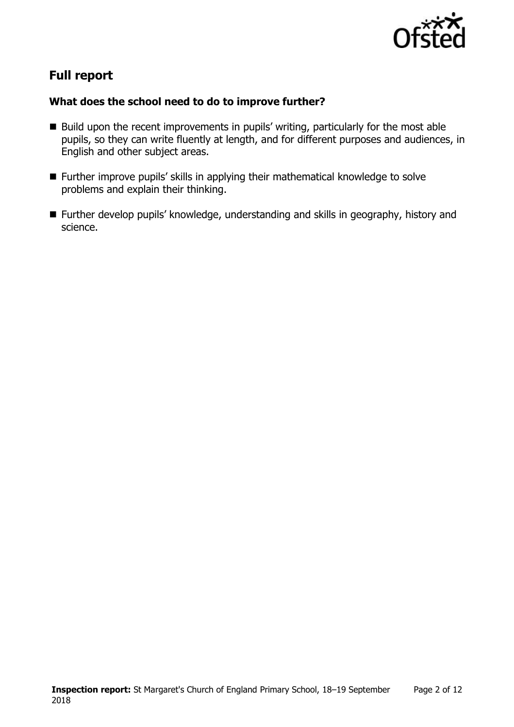

# **Full report**

### **What does the school need to do to improve further?**

- $\blacksquare$  Build upon the recent improvements in pupils' writing, particularly for the most able pupils, so they can write fluently at length, and for different purposes and audiences, in English and other subject areas.
- Further improve pupils' skills in applying their mathematical knowledge to solve problems and explain their thinking.
- Further develop pupils' knowledge, understanding and skills in geography, history and science.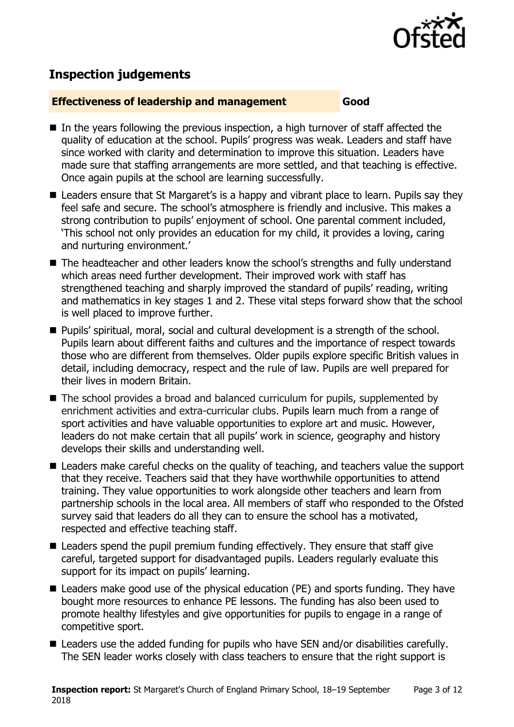

# **Inspection judgements**

#### **Effectiveness of leadership and management Good**

- $\blacksquare$  In the vears following the previous inspection, a high turnover of staff affected the quality of education at the school. Pupils' progress was weak. Leaders and staff have since worked with clarity and determination to improve this situation. Leaders have made sure that staffing arrangements are more settled, and that teaching is effective. Once again pupils at the school are learning successfully.
- Leaders ensure that St Margaret's is a happy and vibrant place to learn. Pupils say they feel safe and secure. The school's atmosphere is friendly and inclusive. This makes a strong contribution to pupils' enjoyment of school. One parental comment included, 'This school not only provides an education for my child, it provides a loving, caring and nurturing environment.'
- The headteacher and other leaders know the school's strengths and fully understand which areas need further development. Their improved work with staff has strengthened teaching and sharply improved the standard of pupils' reading, writing and mathematics in key stages 1 and 2. These vital steps forward show that the school is well placed to improve further.
- **Pupils' spiritual, moral, social and cultural development is a strength of the school.** Pupils learn about different faiths and cultures and the importance of respect towards those who are different from themselves. Older pupils explore specific British values in detail, including democracy, respect and the rule of law. Pupils are well prepared for their lives in modern Britain.
- The school provides a broad and balanced curriculum for pupils, supplemented by enrichment activities and extra-curricular clubs. Pupils learn much from a range of sport activities and have valuable opportunities to explore art and music. However, leaders do not make certain that all pupils' work in science, geography and history develops their skills and understanding well.
- Leaders make careful checks on the quality of teaching, and teachers value the support that they receive. Teachers said that they have worthwhile opportunities to attend training. They value opportunities to work alongside other teachers and learn from partnership schools in the local area. All members of staff who responded to the Ofsted survey said that leaders do all they can to ensure the school has a motivated, respected and effective teaching staff.
- Leaders spend the pupil premium funding effectively. They ensure that staff give careful, targeted support for disadvantaged pupils. Leaders regularly evaluate this support for its impact on pupils' learning.
- Leaders make good use of the physical education (PE) and sports funding. They have bought more resources to enhance PE lessons. The funding has also been used to promote healthy lifestyles and give opportunities for pupils to engage in a range of competitive sport.
- Leaders use the added funding for pupils who have SEN and/or disabilities carefully. The SEN leader works closely with class teachers to ensure that the right support is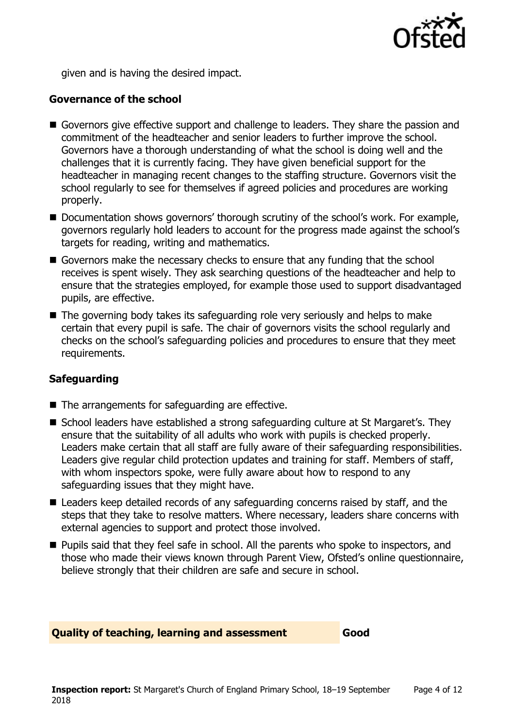

given and is having the desired impact.

### **Governance of the school**

- Governors give effective support and challenge to leaders. They share the passion and commitment of the headteacher and senior leaders to further improve the school. Governors have a thorough understanding of what the school is doing well and the challenges that it is currently facing. They have given beneficial support for the headteacher in managing recent changes to the staffing structure. Governors visit the school regularly to see for themselves if agreed policies and procedures are working properly.
- Documentation shows governors' thorough scrutiny of the school's work. For example, governors regularly hold leaders to account for the progress made against the school's targets for reading, writing and mathematics.
- Governors make the necessary checks to ensure that any funding that the school receives is spent wisely. They ask searching questions of the headteacher and help to ensure that the strategies employed, for example those used to support disadvantaged pupils, are effective.
- The governing body takes its safeguarding role very seriously and helps to make certain that every pupil is safe. The chair of governors visits the school regularly and checks on the school's safeguarding policies and procedures to ensure that they meet requirements.

### **Safeguarding**

- $\blacksquare$  The arrangements for safeguarding are effective.
- School leaders have established a strong safeguarding culture at St Margaret's. They ensure that the suitability of all adults who work with pupils is checked properly. Leaders make certain that all staff are fully aware of their safeguarding responsibilities. Leaders give regular child protection updates and training for staff. Members of staff, with whom inspectors spoke, were fully aware about how to respond to any safeguarding issues that they might have.
- Leaders keep detailed records of any safeguarding concerns raised by staff, and the steps that they take to resolve matters. Where necessary, leaders share concerns with external agencies to support and protect those involved.
- **Pupils said that they feel safe in school. All the parents who spoke to inspectors, and** those who made their views known through Parent View, Ofsted's online questionnaire, believe strongly that their children are safe and secure in school.

### **Quality of teaching, learning and assessment Good**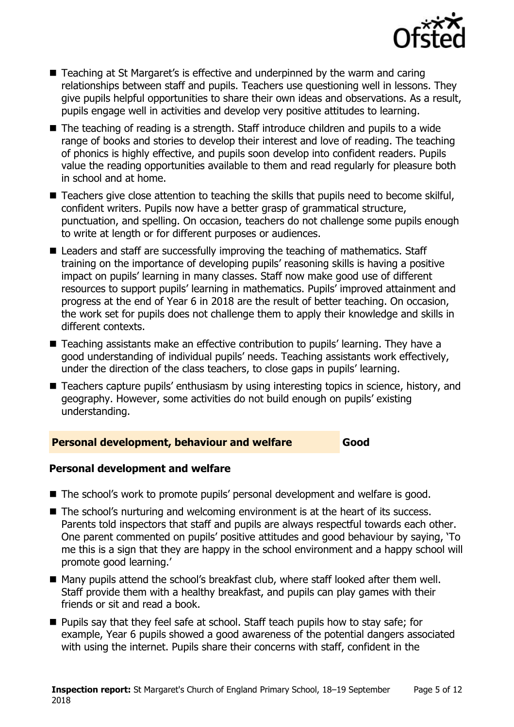

- Teaching at St Margaret's is effective and underpinned by the warm and caring relationships between staff and pupils. Teachers use questioning well in lessons. They give pupils helpful opportunities to share their own ideas and observations. As a result, pupils engage well in activities and develop very positive attitudes to learning.
- The teaching of reading is a strength. Staff introduce children and pupils to a wide range of books and stories to develop their interest and love of reading. The teaching of phonics is highly effective, and pupils soon develop into confident readers. Pupils value the reading opportunities available to them and read regularly for pleasure both in school and at home.
- Teachers give close attention to teaching the skills that pupils need to become skilful, confident writers. Pupils now have a better grasp of grammatical structure, punctuation, and spelling. On occasion, teachers do not challenge some pupils enough to write at length or for different purposes or audiences.
- Leaders and staff are successfully improving the teaching of mathematics. Staff training on the importance of developing pupils' reasoning skills is having a positive impact on pupils' learning in many classes. Staff now make good use of different resources to support pupils' learning in mathematics. Pupils' improved attainment and progress at the end of Year 6 in 2018 are the result of better teaching. On occasion, the work set for pupils does not challenge them to apply their knowledge and skills in different contexts.
- Teaching assistants make an effective contribution to pupils' learning. They have a good understanding of individual pupils' needs. Teaching assistants work effectively, under the direction of the class teachers, to close gaps in pupils' learning.
- Teachers capture pupils' enthusiasm by using interesting topics in science, history, and geography. However, some activities do not build enough on pupils' existing understanding.

### **Personal development, behaviour and welfare Good**

### **Personal development and welfare**

- The school's work to promote pupils' personal development and welfare is good.
- The school's nurturing and welcoming environment is at the heart of its success. Parents told inspectors that staff and pupils are always respectful towards each other. One parent commented on pupils' positive attitudes and good behaviour by saying, 'To me this is a sign that they are happy in the school environment and a happy school will promote good learning.'
- Many pupils attend the school's breakfast club, where staff looked after them well. Staff provide them with a healthy breakfast, and pupils can play games with their friends or sit and read a book.
- **Pupils say that they feel safe at school. Staff teach pupils how to stay safe; for** example, Year 6 pupils showed a good awareness of the potential dangers associated with using the internet. Pupils share their concerns with staff, confident in the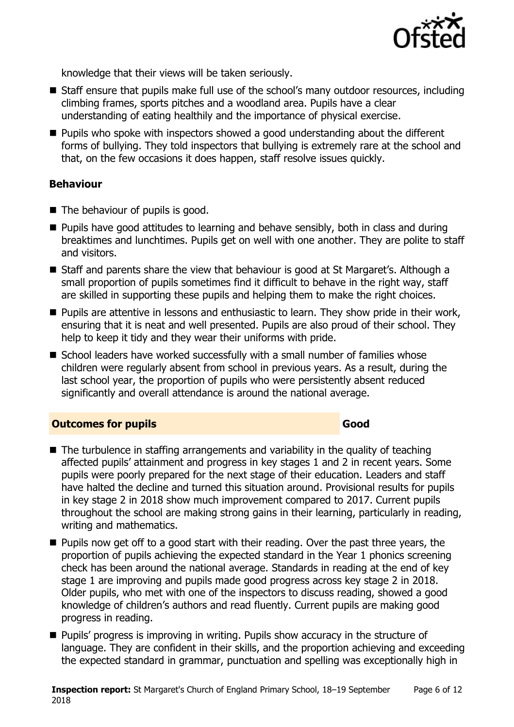

knowledge that their views will be taken seriously.

- Staff ensure that pupils make full use of the school's many outdoor resources, including climbing frames, sports pitches and a woodland area. Pupils have a clear understanding of eating healthily and the importance of physical exercise.
- Pupils who spoke with inspectors showed a good understanding about the different forms of bullying. They told inspectors that bullying is extremely rare at the school and that, on the few occasions it does happen, staff resolve issues quickly.

### **Behaviour**

- $\blacksquare$  The behaviour of pupils is good.
- **Pupils have good attitudes to learning and behave sensibly, both in class and during** breaktimes and lunchtimes. Pupils get on well with one another. They are polite to staff and visitors.
- Staff and parents share the view that behaviour is good at St Margaret's. Although a small proportion of pupils sometimes find it difficult to behave in the right way, staff are skilled in supporting these pupils and helping them to make the right choices.
- **Pupils are attentive in lessons and enthusiastic to learn. They show pride in their work,** ensuring that it is neat and well presented. Pupils are also proud of their school. They help to keep it tidy and they wear their uniforms with pride.
- School leaders have worked successfully with a small number of families whose children were regularly absent from school in previous years. As a result, during the last school year, the proportion of pupils who were persistently absent reduced significantly and overall attendance is around the national average.

### **Outcomes for pupils Good Good**

- $\blacksquare$  The turbulence in staffing arrangements and variability in the quality of teaching affected pupils' attainment and progress in key stages 1 and 2 in recent years. Some pupils were poorly prepared for the next stage of their education. Leaders and staff have halted the decline and turned this situation around. Provisional results for pupils in key stage 2 in 2018 show much improvement compared to 2017. Current pupils throughout the school are making strong gains in their learning, particularly in reading, writing and mathematics.
- **Pupils now get off to a good start with their reading. Over the past three years, the** proportion of pupils achieving the expected standard in the Year 1 phonics screening check has been around the national average. Standards in reading at the end of key stage 1 are improving and pupils made good progress across key stage 2 in 2018. Older pupils, who met with one of the inspectors to discuss reading, showed a good knowledge of children's authors and read fluently. Current pupils are making good progress in reading.
- **Pupils' progress is improving in writing. Pupils show accuracy in the structure of** language. They are confident in their skills, and the proportion achieving and exceeding the expected standard in grammar, punctuation and spelling was exceptionally high in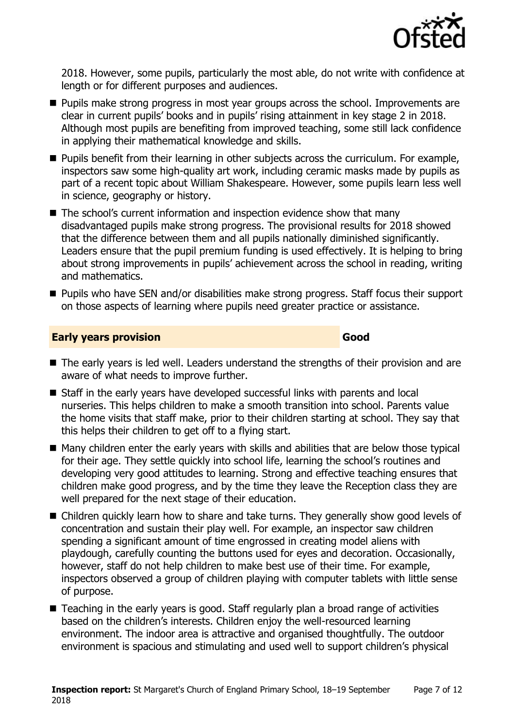

2018. However, some pupils, particularly the most able, do not write with confidence at length or for different purposes and audiences.

- **Pupils make strong progress in most year groups across the school. Improvements are** clear in current pupils' books and in pupils' rising attainment in key stage 2 in 2018. Although most pupils are benefiting from improved teaching, some still lack confidence in applying their mathematical knowledge and skills.
- **Pupils benefit from their learning in other subjects across the curriculum. For example,** inspectors saw some high-quality art work, including ceramic masks made by pupils as part of a recent topic about William Shakespeare. However, some pupils learn less well in science, geography or history.
- The school's current information and inspection evidence show that many disadvantaged pupils make strong progress. The provisional results for 2018 showed that the difference between them and all pupils nationally diminished significantly. Leaders ensure that the pupil premium funding is used effectively. It is helping to bring about strong improvements in pupils' achievement across the school in reading, writing and mathematics.
- **Pupils who have SEN and/or disabilities make strong progress. Staff focus their support** on those aspects of learning where pupils need greater practice or assistance.

#### **Early years provision Good**

- The early years is led well. Leaders understand the strengths of their provision and are aware of what needs to improve further.
- Staff in the early years have developed successful links with parents and local nurseries. This helps children to make a smooth transition into school. Parents value the home visits that staff make, prior to their children starting at school. They say that this helps their children to get off to a flying start.
- Many children enter the early years with skills and abilities that are below those typical for their age. They settle quickly into school life, learning the school's routines and developing very good attitudes to learning. Strong and effective teaching ensures that children make good progress, and by the time they leave the Reception class they are well prepared for the next stage of their education.
- Children quickly learn how to share and take turns. They generally show good levels of concentration and sustain their play well. For example, an inspector saw children spending a significant amount of time engrossed in creating model aliens with playdough, carefully counting the buttons used for eyes and decoration. Occasionally, however, staff do not help children to make best use of their time. For example, inspectors observed a group of children playing with computer tablets with little sense of purpose.
- Teaching in the early years is good. Staff regularly plan a broad range of activities based on the children's interests. Children enjoy the well-resourced learning environment. The indoor area is attractive and organised thoughtfully. The outdoor environment is spacious and stimulating and used well to support children's physical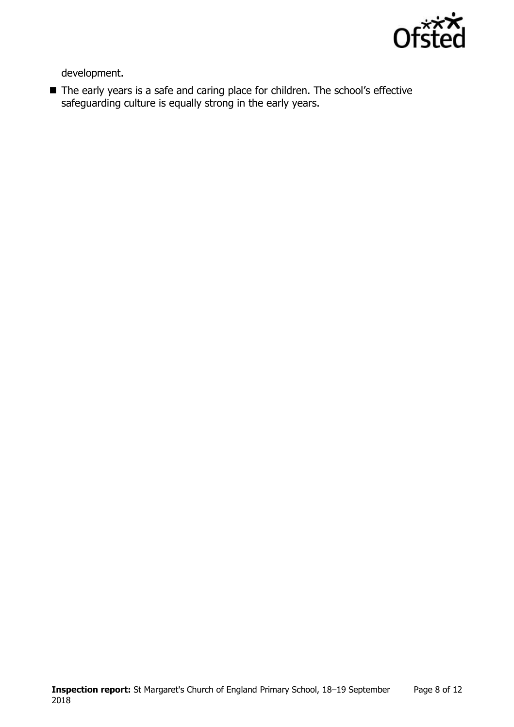

development.

■ The early years is a safe and caring place for children. The school's effective safeguarding culture is equally strong in the early years.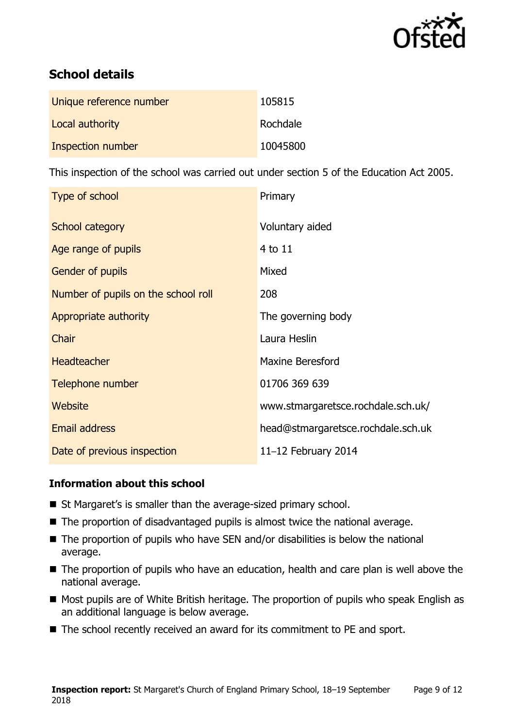

# **School details**

| Unique reference number | 105815   |
|-------------------------|----------|
| Local authority         | Rochdale |
| Inspection number       | 10045800 |

This inspection of the school was carried out under section 5 of the Education Act 2005.

| Type of school                      | Primary                            |
|-------------------------------------|------------------------------------|
| School category                     | Voluntary aided                    |
| Age range of pupils                 | 4 to 11                            |
| <b>Gender of pupils</b>             | Mixed                              |
| Number of pupils on the school roll | 208                                |
| Appropriate authority               | The governing body                 |
| Chair                               | Laura Heslin                       |
| <b>Headteacher</b>                  | <b>Maxine Beresford</b>            |
| Telephone number                    | 01706 369 639                      |
| Website                             | www.stmargaretsce.rochdale.sch.uk/ |
| <b>Email address</b>                | head@stmargaretsce.rochdale.sch.uk |
| Date of previous inspection         | 11-12 February 2014                |

### **Information about this school**

- St Margaret's is smaller than the average-sized primary school.
- The proportion of disadvantaged pupils is almost twice the national average.
- $\blacksquare$  The proportion of pupils who have SEN and/or disabilities is below the national average.
- The proportion of pupils who have an education, health and care plan is well above the national average.
- Most pupils are of White British heritage. The proportion of pupils who speak English as an additional language is below average.
- The school recently received an award for its commitment to PE and sport.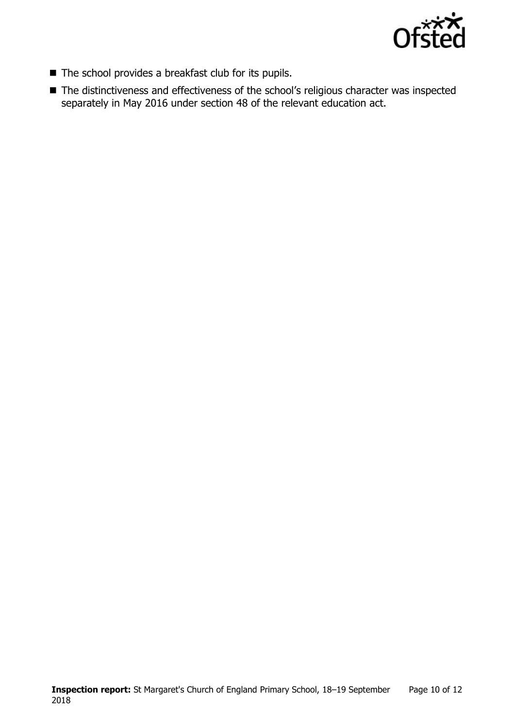

- The school provides a breakfast club for its pupils.
- The distinctiveness and effectiveness of the school's religious character was inspected separately in May 2016 under section 48 of the relevant education act.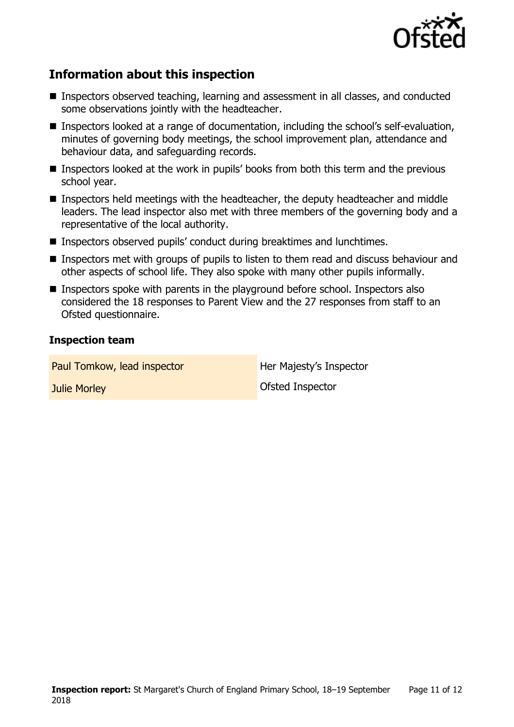

## **Information about this inspection**

- Inspectors observed teaching, learning and assessment in all classes, and conducted some observations jointly with the headteacher.
- Inspectors looked at a range of documentation, including the school's self-evaluation, minutes of governing body meetings, the school improvement plan, attendance and behaviour data, and safeguarding records.
- Inspectors looked at the work in pupils' books from both this term and the previous school year.
- Inspectors held meetings with the headteacher, the deputy headteacher and middle leaders. The lead inspector also met with three members of the governing body and a representative of the local authority.
- Inspectors observed pupils' conduct during breaktimes and lunchtimes.
- **Inspectors met with groups of pupils to listen to them read and discuss behaviour and** other aspects of school life. They also spoke with many other pupils informally.
- **Inspectors spoke with parents in the playground before school. Inspectors also** considered the 18 responses to Parent View and the 27 responses from staff to an Ofsted questionnaire.

#### **Inspection team**

Paul Tomkow, lead inspector **Her Majesty's Inspector Julie Morley Community Community** Ofsted Inspector